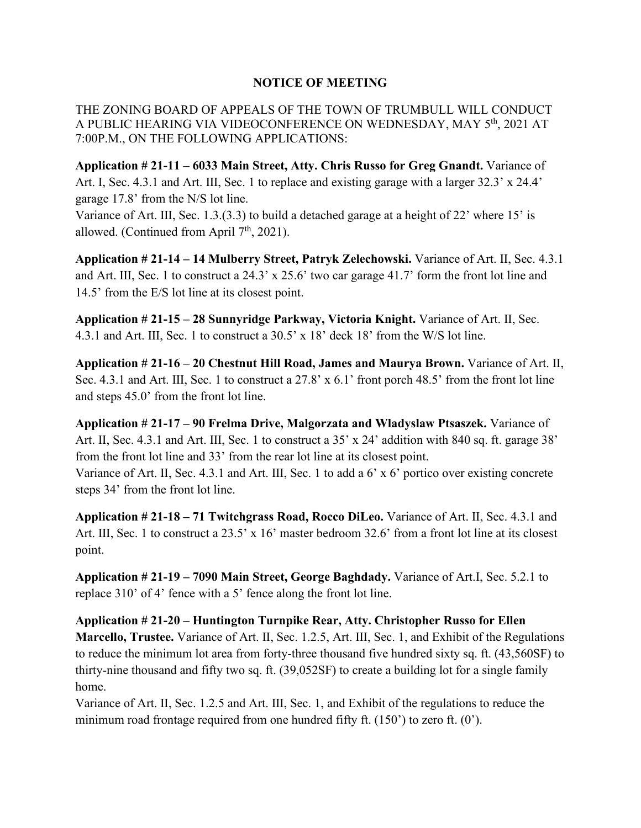## **NOTICE OF MEETING**

THE ZONING BOARD OF APPEALS OF THE TOWN OF TRUMBULL WILL CONDUCT A PUBLIC HEARING VIA VIDEOCONFERENCE ON WEDNESDAY, MAY 5th, 2021 AT 7:00P.M., ON THE FOLLOWING APPLICATIONS:

**Application # 21-11 – 6033 Main Street, Atty. Chris Russo for Greg Gnandt.** Variance of Art. I, Sec. 4.3.1 and Art. III, Sec. 1 to replace and existing garage with a larger 32.3' x 24.4' garage 17.8' from the N/S lot line.

Variance of Art. Ⅲ, Sec. 1.3.(3.3) to build a detached garage at a height of 22' where 15' is allowed. (Continued from April  $7<sup>th</sup>$ , 2021).

**Application # 21-14 – 14 Mulberry Street, Patryk Zelechowski.** Variance of Art. Ⅱ, Sec. 4.3.1 and Art. Ⅲ, Sec. 1 to construct a 24.3' x 25.6' two car garage 41.7' form the front lot line and 14.5' from the E/S lot line at its closest point.

**Application # 21-15 – 28 Sunnyridge Parkway, Victoria Knight.** Variance of Art. Ⅱ, Sec. 4.3.1 and Art. Ⅲ, Sec. 1 to construct a 30.5' x 18' deck 18' from the W/S lot line.

**Application # 21-16 – 20 Chestnut Hill Road, James and Maurya Brown.** Variance of Art. Ⅱ, Sec. 4.3.1 and Art. III, Sec. 1 to construct a 27.8' x 6.1' front porch 48.5' from the front lot line and steps 45.0' from the front lot line.

**Application # 21-17 – 90 Frelma Drive, Malgorzata and Wladyslaw Ptsaszek.** Variance of Art. II, Sec. 4.3.1 and Art. III, Sec. 1 to construct a 35' x 24' addition with 840 sq. ft. garage 38' from the front lot line and 33' from the rear lot line at its closest point. Variance of Art. Ⅱ, Sec. 4.3.1 and Art. Ⅲ, Sec. 1 to add a 6' x 6' portico over existing concrete steps 34' from the front lot line.

**Application # 21-18 – 71 Twitchgrass Road, Rocco DiLeo.** Variance of Art. Ⅱ, Sec. 4.3.1 and Art. III, Sec. 1 to construct a 23.5' x 16' master bedroom 32.6' from a front lot line at its closest point.

**Application # 21-19 – 7090 Main Street, George Baghdady.** Variance of Art.Ⅰ, Sec. 5.2.1 to replace 310' of 4' fence with a 5' fence along the front lot line.

**Application # 21-20 – Huntington Turnpike Rear, Atty. Christopher Russo for Ellen Marcello, Trustee.** Variance of Art. Ⅱ, Sec. 1.2.5, Art. Ⅲ, Sec. 1, and Exhibit of the Regulations to reduce the minimum lot area from forty-three thousand five hundred sixty sq. ft. (43,560SF) to thirty-nine thousand and fifty two sq. ft. (39,052SF) to create a building lot for a single family home.

Variance of Art. Ⅱ, Sec. 1.2.5 and Art. Ⅲ, Sec. 1, and Exhibit of the regulations to reduce the minimum road frontage required from one hundred fifty ft. (150') to zero ft. (0').